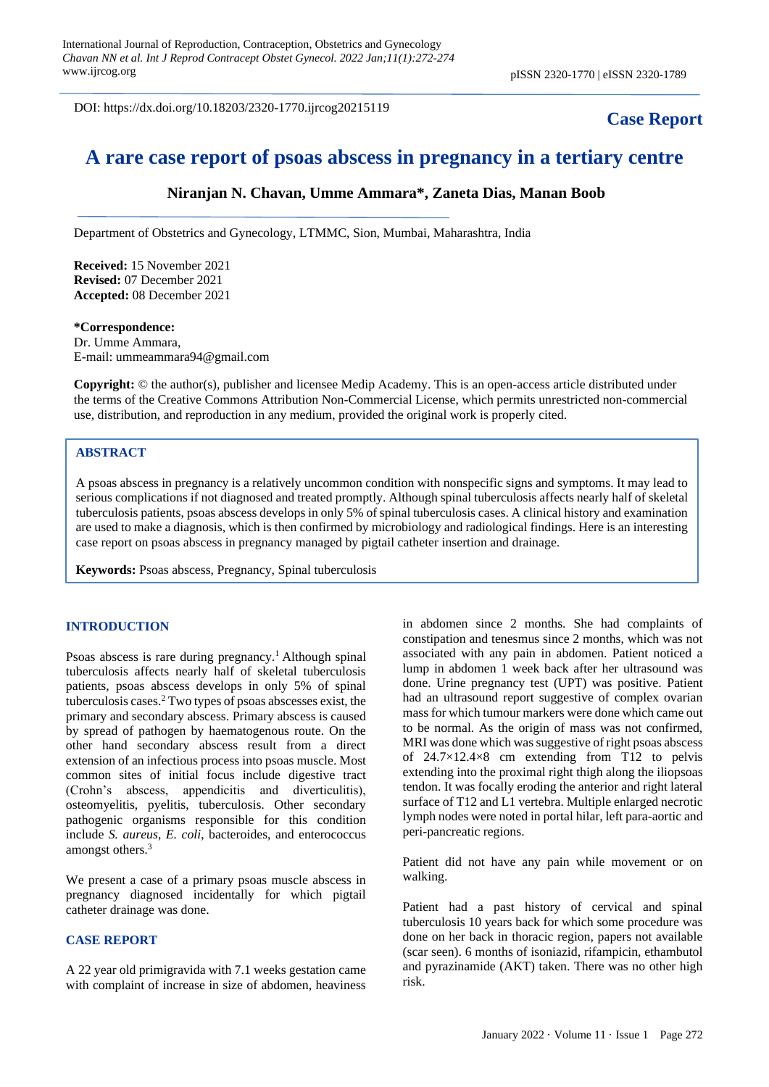DOI: https://dx.doi.org/10.18203/2320-1770.ijrcog20215119

## **Case Report**

# **A rare case report of psoas abscess in pregnancy in a tertiary centre**

## **Niranjan N. Chavan, Umme Ammara\*, Zaneta Dias, Manan Boob**

Department of Obstetrics and Gynecology, LTMMC, Sion, Mumbai, Maharashtra, India

**Received:** 15 November 2021 **Revised:** 07 December 2021 **Accepted:** 08 December 2021

#### **\*Correspondence:** Dr. Umme Ammara, E-mail: ummeammara94@gmail.com

**Copyright:** © the author(s), publisher and licensee Medip Academy. This is an open-access article distributed under the terms of the Creative Commons Attribution Non-Commercial License, which permits unrestricted non-commercial use, distribution, and reproduction in any medium, provided the original work is properly cited.

## **ABSTRACT**

A psoas abscess in pregnancy is a relatively uncommon condition with nonspecific signs and symptoms. It may lead to serious complications if not diagnosed and treated promptly. Although spinal tuberculosis affects nearly half of skeletal tuberculosis patients, psoas abscess develops in only 5% of spinal tuberculosis cases. A clinical history and examination are used to make a diagnosis, which is then confirmed by microbiology and radiological findings. Here is an interesting case report on psoas abscess in pregnancy managed by pigtail catheter insertion and drainage.

**Keywords:** Psoas abscess, Pregnancy, Spinal tuberculosis

#### **INTRODUCTION**

Psoas abscess is rare during pregnancy.<sup>1</sup> Although spinal tuberculosis affects nearly half of skeletal tuberculosis patients, psoas abscess develops in only 5% of spinal tuberculosis cases. <sup>2</sup> Two types of psoas abscesses exist, the primary and secondary abscess. Primary abscess is caused by spread of pathogen by haematogenous route. On the other hand secondary abscess result from a direct extension of an infectious process into psoas muscle. Most common sites of initial focus include digestive tract (Crohn's abscess, appendicitis and diverticulitis), osteomyelitis, pyelitis, tuberculosis. Other secondary pathogenic organisms responsible for this condition include *S. aureus*, *E. coli*, bacteroides, and enterococcus amongst others.<sup>3</sup>

We present a case of a primary psoas muscle abscess in pregnancy diagnosed incidentally for which pigtail catheter drainage was done.

## **CASE REPORT**

A 22 year old primigravida with 7.1 weeks gestation came with complaint of increase in size of abdomen, heaviness in abdomen since 2 months. She had complaints of constipation and tenesmus since 2 months, which was not associated with any pain in abdomen. Patient noticed a lump in abdomen 1 week back after her ultrasound was done. Urine pregnancy test (UPT) was positive. Patient had an ultrasound report suggestive of complex ovarian mass for which tumour markers were done which came out to be normal. As the origin of mass was not confirmed, MRI was done which was suggestive of right psoas abscess of  $24.7 \times 12.4 \times 8$  cm extending from T12 to pelvis extending into the proximal right thigh along the iliopsoas tendon. It was focally eroding the anterior and right lateral surface of T12 and L1 vertebra. Multiple enlarged necrotic lymph nodes were noted in portal hilar, left para-aortic and peri-pancreatic regions.

Patient did not have any pain while movement or on walking.

Patient had a past history of cervical and spinal tuberculosis 10 years back for which some procedure was done on her back in thoracic region, papers not available (scar seen). 6 months of isoniazid, rifampicin, ethambutol and pyrazinamide (AKT) taken. There was no other high risk.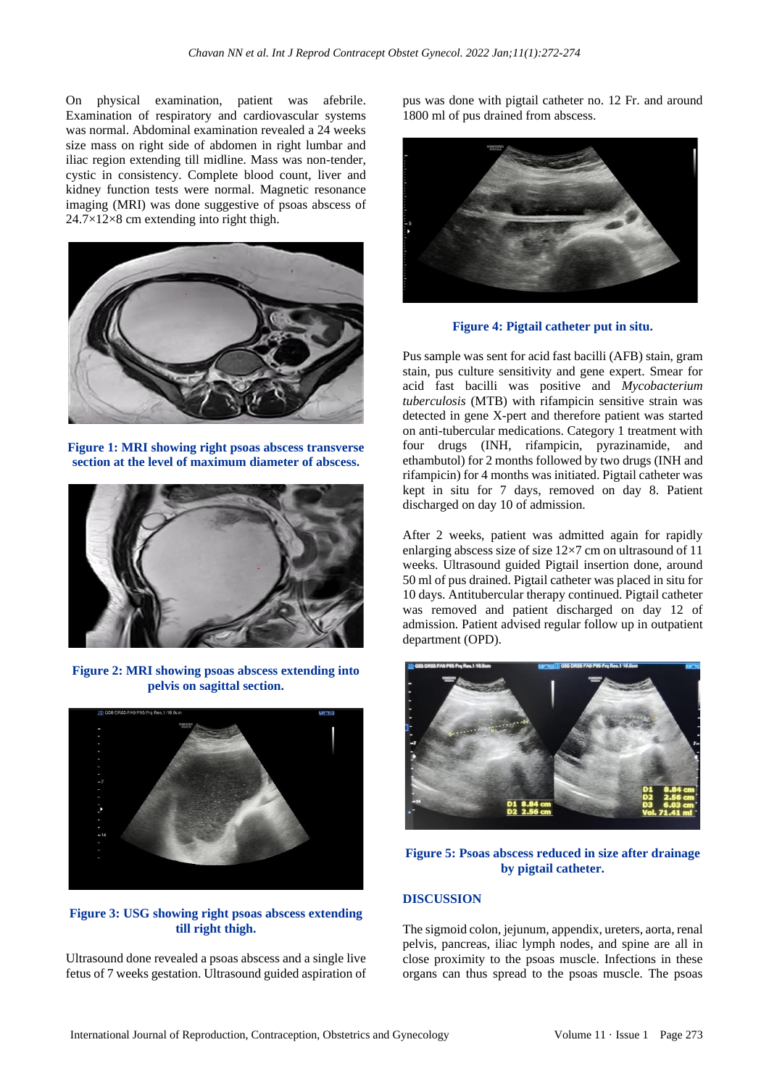On physical examination, patient was afebrile. Examination of respiratory and cardiovascular systems was normal. Abdominal examination revealed a 24 weeks size mass on right side of abdomen in right lumbar and iliac region extending till midline. Mass was non-tender, cystic in consistency. Complete blood count, liver and kidney function tests were normal. Magnetic resonance imaging (MRI) was done suggestive of psoas abscess of 24.7×12×8 cm extending into right thigh.



**Figure 1: MRI showing right psoas abscess transverse section at the level of maximum diameter of abscess.**



**Figure 2: MRI showing psoas abscess extending into pelvis on sagittal section.**



**Figure 3: USG showing right psoas abscess extending till right thigh.**

Ultrasound done revealed a psoas abscess and a single live fetus of 7 weeks gestation. Ultrasound guided aspiration of pus was done with pigtail catheter no. 12 Fr. and around 1800 ml of pus drained from abscess.



**Figure 4: Pigtail catheter put in situ.**

Pus sample was sent for acid fast bacilli (AFB) stain, gram stain, pus culture sensitivity and gene expert. Smear for acid fast bacilli was positive and *Mycobacterium tuberculosis* (MTB) with rifampicin sensitive strain was detected in gene X-pert and therefore patient was started on anti-tubercular medications. Category 1 treatment with four drugs (INH, rifampicin, pyrazinamide, and ethambutol) for 2 months followed by two drugs (INH and rifampicin) for 4 months was initiated. Pigtail catheter was kept in situ for 7 days, removed on day 8. Patient discharged on day 10 of admission.

After 2 weeks, patient was admitted again for rapidly enlarging abscess size of size 12×7 cm on ultrasound of 11 weeks. Ultrasound guided Pigtail insertion done, around 50 ml of pus drained. Pigtail catheter was placed in situ for 10 days. Antitubercular therapy continued. Pigtail catheter was removed and patient discharged on day 12 of admission. Patient advised regular follow up in outpatient department (OPD).



**Figure 5: Psoas abscess reduced in size after drainage by pigtail catheter.**

## **DISCUSSION**

The sigmoid colon, jejunum, appendix, ureters, aorta, renal pelvis, pancreas, iliac lymph nodes, and spine are all in close proximity to the psoas muscle. Infections in these organs can thus spread to the psoas muscle. The psoas